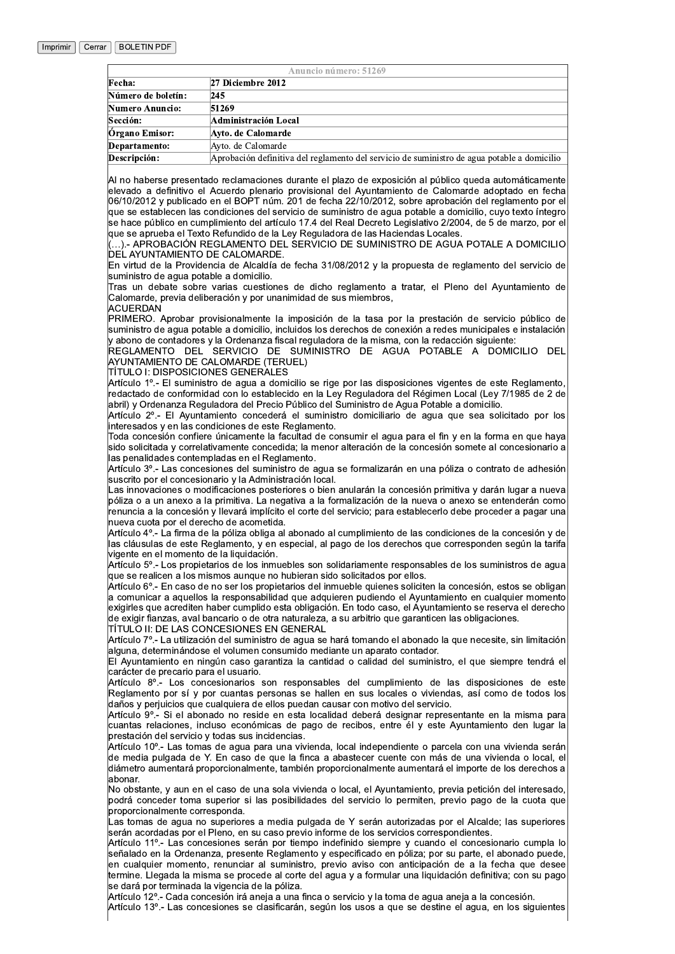|                    | Anuncio número: 51269                                                                       |
|--------------------|---------------------------------------------------------------------------------------------|
| Fecha:             | 27 Diciembre 2012                                                                           |
| Número de boletín: | 245                                                                                         |
| Numero Anuncio:    | 51269                                                                                       |
| Sección:           | Administración Local                                                                        |
| Órgano Emisor:     | Ayto. de Calomarde                                                                          |
| Departamento:      | Ayto. de Calomarde                                                                          |
| Descripción:       | Aprobación definitiva del reglamento del servicio de suministro de agua potable a domicilio |
|                    |                                                                                             |

Al no haberse presentado reclamaciones durante el plazo de exposición al público queda automáticamente elevado a definitivo el Acuerdo plenario provisional del Ayuntamiento de Calomarde adoptado en fecha 06/10/2012 y publicado en el BOPT núm. 201 de fecha 22/10/2012, sobre aprobación del reglamento por el que se establecen las condiciones del servicio de suministro de agua potable a domicilio, cuyo texto íntegro se hace público en cumplimiento del artículo 17.4 del Real Decreto Legislativo 2/2004, de 5 de marzo, por el que se aprueba el Texto Refundido de la Ley Reguladora de las Haciendas Locales

...).- APROBACIÓN REGLAMENTO DEL SERVICIO DE SUMINISTRO DE AGUA POTALE A DOMICILIO DEL AYUNTAMIENTO DE CALOMARDE.

En virtud de la Providencia de Alcaldía de fecha 31/08/2012 y la propuesta de reglamento del servicio de suministro de agua potable a domicilio.

Tras un debate sobre varias cuestiones de dicho reglamento a tratar, el Pleno del Ayuntamiento de Calomarde, previa deliberación y por unanimidad de sus miembros, ACUERDAN

PRIMERO. Aprobar provisionalmente la imposición de la tasa por la prestación de servicio público de suministro de aqua potable a domicilio, incluidos los derechos de conexión a redes municipales e instalación y abono de contadores y la Ordenanza fiscal reguladora de la misma, con la redacción siguiente:

REGLAMENTO DEL SERVICIO DE SUMINISTRO DE AGUA POTABLE A DOMICILIO DEL<br>AYUNTAMIENTO DE CALOMARDE (TERUEL)

TÍTULO I: DISPOSICIONES GENERALES

Artículo 1º.- El suministro de agua a domicilio se rige por las disposiciones vigentes de este Reglamento, redactado de conformidad con lo establecido en la Ley Reguladora del Régimen Local (Ley 7/1985 de 2 de abril) y Ordenanza Reguladora del Precio Público del Suministro de Agua Potable a domicilio.

Artículo 2º.- El Ayuntamiento concederá el suministro domiciliario de agua que sea solicitado por los interesados y en las condiciones de este Reglamento.

Toda concesión confiere únicamente la facultad de consumir el aqua para el fin y en la forma en que haya sido solicitada y correlativamente concedida; la menor alteración de la concesión somete al concesionario a las penalidades contempladas en el Reglamento.

Artículo 3º .- Las concesiones del suministro de agua se formalizarán en una póliza o contrato de adhesión suscrito por el concesionario y la Administración local.

Las innovaciones o modificaciones posteriores o bien anularán la concesión primitiva y darán lugar a nueva póliza o a un anexo a la primitiva. La negativa a la formalización de la nueva o anexo se entenderán como renuncia a la concesión y llevará implícito el corte del servicio; para establecerlo debe proceder a pagar una nueva cuota por el derecho de acometida.

Artículo 4º - La firma de la póliza obliga al abonado al cumplimiento de las condiciones de la concesión y de las cláusulas de este Reglamento, y en especial, al pago de los derechos que corresponden según la tarifa vigente en el momento de la liquidación.

Artículo 5º.- Los propietarios de los inmuebles son solidariamente responsables de los suministros de agua que se realicen a los mismos aunque no hubieran sido solicitados por ellos.

Artículo 6º - En caso de no ser los propietarios del inmueble quienes soliciten la concesión, estos se obligan a comunicar a aquellos la responsabilidad que adquieren pudiendo el Ayuntamiento en cualquier momento exigirles que acrediten haber cumplido esta obligación. En todo caso, el Ávuntamiento se reserva el derecho de exigir fianzas, aval bancario o de otra naturaleza, a su arbitrio que garanticen las obligaciones. TÍTULO II: DE LAS CONCESIONES EN GENERAL

Artículo 7º - La utilización del suministro de agua se hará tomando el abonado la que necesite, sin limitación alguna, determinándose el volumen consumido mediante un aparato contador.

El Ayuntamiento en ningún caso garantiza la cantidad o calidad del suministro, el que siempre tendrá el carácter de precario para el usuario.

Artículo 8º - Los concesionarios son responsables del cumplimiento de las disposiciones de este Reglamento por sí y por cuantas personas se hallen en sus locales o viviendas, así como de todos los daños y perjuicios que cualquiera de ellos puedan causar con motivo del servicio.

Artículo 9º - Si el abonado no reside en esta localidad deberá designar representante en la misma para cuantas relaciones, incluso económicas de pago de recibos, entre él y este Ayuntamiento den lugar la prestación del servicio y todas sus incidencias.

Artículo 10º.- Las tomas de agua para una vivienda, local independiente o parcela con una vivienda serán de media pulgada de Y. En caso de que la finca a abastecer cuente con más de una vivienda o local, el diámetro aumentará proporcionalmente, también proporcionalmente aumentará el importe de los derechos a labonar.

No obstante. y aun en el caso de una sola vivienda o local, el Ayuntamiento, previa petición del interesado, podrá conceder toma superior si las posibilidades del servicio lo permiten, previo pago de la cuota que proporcionalmente corresponda.

Las tomas de agua no superiores a media pulgada de Y serán autorizadas por el Alcalde; las superiores serán acordadas por el Pleno, en su caso previo informe de los servicios correspondientes.

Artículo 11º - Las concesiones serán por tiempo indefinido siempre y cuando el concesionario cumpla lo señalado en la Ordenanza, presente Reglamento y especificado en póliza; por su parte, el abonado puede, en cualquier momento, renunciar al suministro, previo aviso con anticipación de a la fecha que desee termine. Llegada la misma se procede al corte del agua y a formular una liquidación definitiva; con su pago se dará por terminada la vigencia de la póliza.

Artículo 12º.- Cada concesión irá aneja a una finca o servicio y la toma de agua aneja a la concesión. Artículo 13º - Las concesiones se clasificarán, según los usos a que se destine el agua, en los siguientes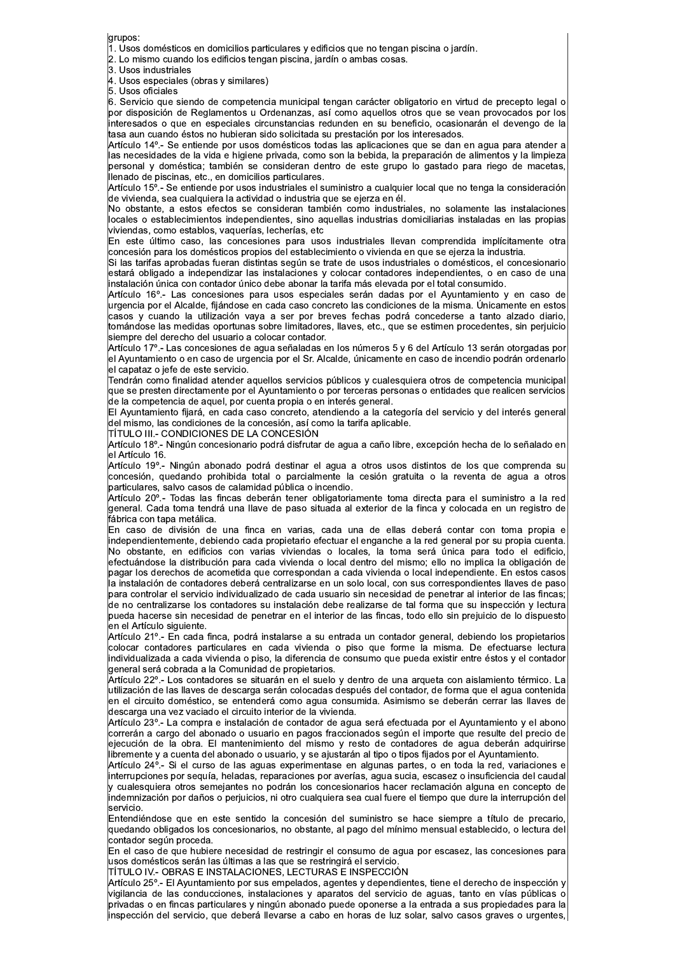grupos:

 $\vert$ 1. Usos domésticos en domicilios particulares y edificios que no tengan piscina o jardín.

2. Lo mismo cuando los edificios tengan piscina, jardín o ambas cosas.

3. Usos industriales

4. Usos especiales (obras y similares)

5. Usos oficiales

6. Servicio que siendo de competencia municipal tengan carácter obligatorio en virtud de precepto legal o por disposición de Reglamentos u Ordenanzas, así como aquellos otros que se vean provocados por los interesados o que en especiales circunstancias redunden en su beneficio, ocasionarán el devengo de la tasa aun cuando éstos no hubieran sido solicitada su prestación por los interesados.

Artículo 14º - Se entiende por usos domésticos todas las aplicaciones que se dan en agua para atender a las necesidades de la vida e higiene privada, como son la bebida, la preparación de alimentos y la limpieza personal y doméstica; también se consideran dentro de este grupo lo gastado para riego de macetas, llenado de piscinas, etc., en domicilios particulares.

Artículo 15º - Se entiende por usos industriales el suministro a cualquier local que no tenga la consideración la<br>de vivienda, sea cualquiera la actividad o industria que se ejerza en él.

No obstante, a estos efectos se consideran también como industriales, no solamente las instalaciones locales o establecimientos independientes, sino aquellas industrias domiciliarias instaladas en las propias viviendas, como establos, vaquerías, lecherías, etc

En este último caso, las concesiones para usos industriales llevan comprendida implícitamente otra concesión para los domésticos propios del establecimiento o vivienda en que se ejerza la industria.

Si las tarifas aprobadas fueran distintas según se trate de usos industriales o domésticos, el concesionario estará obligado a independizar las instalaciones y colocar contadores independientes, o en caso de una instalación única con contador único debe abonar la tarifa más elevada por el total consumido.

Artículo 16° - Las concesiones para usos especiales serán dadas por el Ayuntamiento y en caso de urgencia por el Alcalde, fiiándose en cada caso concreto las condiciones de la misma. Únicamente en estos casos y cuando la utilización vaya a ser por breves fechas podrá concederse a tanto alzado diario, tomándose las medidas oportunas sobre limitadores, llaves, etc., que se estimen procedentes, sin perjuicio siempre del derecho del usuario a colocar contador.

Artículo 17º.- Las concesiones de agua señaladas en los números 5 y 6 del Artículo 13 serán otorgadas por el Ayuntamiento o en caso de urgencia por el Sr. Alcalde, únicamente en caso de incendio podrán ordenarlo el capataz o iefe de este servicio.

Tendrán como finalidad atender aquellos servicios públicos y cualesquiera otros de competencia municipal que se presten directamente por el Ayuntamiento o por terceras personas o entidades que realicen servicios de la competencia de aquel, por cuenta propia o en interés general.

El Ayuntamiento fijará, en cada caso concreto, atendiendo a la categoría del servicio y del interés general del mismo, las condiciones de la concesión, así como la tarifa aplicable.

lemente, ao conditivo de la Concessión de Carlo de Lana aproxista.<br>TíTULO III - CONDICIONES DE LA CONCESIÓN<br>Artículo 18º - Ningún concesionario podrá disfrutar de agua a caño libre, excepción hecha de lo señalado en el Artículo 16.

Artículo 19º .- Ningún abonado podrá destinar el agua a otros usos distintos de los que comprenda su concesión, quedando prohibida total o parcialmente la cesión gratuita o la reventa de agua a otros particulares, salvo casos de calamidad pública o incendio.

Artículo 20° - Todas las fincas deberán tener obligatoriamente toma directa para el suministro a la red general. Cada toma tendrá una llave de paso situada al exterior de la finca y colocada en un registro de řábrica con tapa metálica.

En caso de división de una finca en varias, cada una de ellas deberá contar con toma propia e independientemente, debiendo cada propietario efectuar el enganche a la red general por su propia cuenta. No obstante, en edificios con varias viviendas o locales, la toma será única para todo el edificio, efectuándose la distribución para cada vivienda o local dentro del mismo; ello no implica la obligación de pagar los derechos de acometida que correspondan a cada vivienda o local independiente. En estos casos la instalación de contadores deberá centralizarse en un solo local, con sus correspondientes llaves de paso para controlar el servicio individualizado de cada usuario sin necesidad de penetrar al interior de las fincas; de no centralizarse los contadores su instalación debe realizarse de tal forma que su inspección y lectura pueda hacerse sin necesidad de penetrar en el interior de las fincas, todo ello sin prejuicio de lo dispuesto en el Artículo siguiente.

Artículo 21º .- En cada finca, podrá instalarse a su entrada un contador general, debiendo los propietarios colocar contadores particulares en cada vivienda o piso que forme la misma. De efectuarse lectura individualizada a cada vivienda o piso, la diferencia de consumo que pueda existir entre éstos y el contador general será cobrada a la Comunidad de propietarios.

Artículo 22º - Los contadores se situarán en el suelo y dentro de una arqueta con aislamiento térmico. La utilización de las llaves de descarga serán colocadas después del contador, de forma que el aqua contenida en el circuito doméstico, se entenderá como agua consumida. Asimismo se deberán cerrar las llaves de descarga una vez vaciado el circuito interior de la vivienda.

Artículo 23º .- La compra e instalación de contador de agua será efectuada por el Ayuntamiento y el abono correrán a cargo del abonado o usuario en pagos fraccionados según el importe que resulte del precio de ejecución de la obra. El mantenimiento del mismo y resto de contadores de aqua deberán adquirirse libremente y a cuenta del abonado o usuario, y se ajustarán al tipo o tipos fijados por el Ayuntamiento.

Artículo 24°.- Si el curso de las aguas experimentase en algunas partes, o en toda la red, variaciones e interrupciones por seguía, heladas, reparaciones por averías, aqua sucia, escasez o insuficiencia del caudal y cualesquiera otros semejantes no podrán los concesionarios hacer reclamación alguna en concepto de .<br>indemnización por daños o perjuicios, ni otro cualquiera sea cual fuere el tiempo que dure la interrupción del lservicio.

Entendiéndose que en este sentido la concesión del suministro se hace siempre a título de precario, quedando obligados los concesionarios, no obstante, al pago del mínimo mensual establecido, o lectura del contador según proceda.

En el caso de que hubiere necesidad de restringir el consumo de agua por escasez, las concesiones para usos domésticos serán las últimas a las que se restringirá el servicio.

TÍTULO IV.- OBRAS E INSTALACIONES, LECTURAS E INSPECCIÓN

Artículo 25º.- El Ayuntamiento por sus empelados, agentes y dependientes, tiene el derecho de inspección y vigilancia de las conducciones, instalaciones y aparatos del servicio de aguas, tanto en vías públicas o privadas o en fincas particulares y ningún abonado puede oponerse a la entrada a sus propiedades para la inspección del servicio, que deberá llevarse a cabo en horas de luz solar, salvo casos graves o urgentes,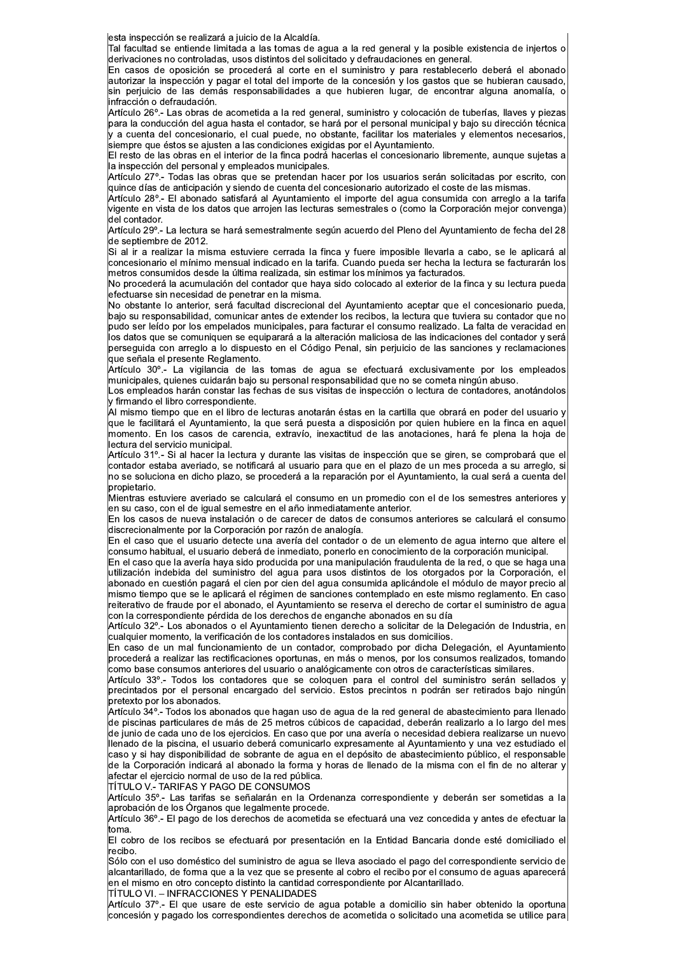esta inspección se realizará a juicio de la Alcaldía.

Tal facultad se entiende limitada a las tomas de aqua a la red general y la posible existencia de iniertos o derivaciones no controladas, usos distintos del solicitado y defraudaciones en general.

En casos de oposición se procederá al corte en el suministro y para restablecerlo deberá el abonado autorizar la inspección y pagar el total del importe de la concesión y los gastos que se hubieran causado, sin perjuicio de las demás responsabilidades a que hubieren lugar, de encontrar alguna anomalía, o infracción o defraudación.

Artículo 26º.- Las obras de acometida a la red general, suministro y colocación de tuberías, llaves y piezas para la conducción del agua hasta el contador, se hará por el personal municipal y bajo su dirección técnica .<br>Jy a cuenta del concesionario, el cual puede, no obstante, facilitar los materiales y elementos necesarios, siempre que éstos se ajusten a las condiciones exigidas por el Ayuntamiento.

El resto de las obras en el interior de la finca podrá hacerlas el concesionario libremente, aunque sujetas a la inspección del personal y empleados municipales.

Artículo 27º - Todas las obras que se pretendan hacer por los usuarios serán solicitadas por escrito, con quince días de anticipación y siendo de cuenta del concesionario autorizado el coste de las mismas.

Artículo 28º - El abonado satisfará al Ayuntamiento el importe del agua consumida con arreglo a la tarifa vigente en vista de los datos que arrojen las lecturas semestrales o (como la Corporación mejor convenga) del contador.

Artículo 29º.- La lectura se hará semestralmente según acuerdo del Pleno del Ayuntamiento de fecha del 28 de septiembre de 2012.

Si al ir a realizar la misma estuviere cerrada la finca y fuere imposible llevarla a cabo, se le aplicará al concesionario el mínimo mensual indicado en la tarifa. Cuando pueda ser hecha la lectura se facturarán los metros consumidos desde la última realizada, sin estimar los mínimos ya facturados.

No procederá la acumulación del contador que haya sido colocado al exterior de la finca y su lectura pueda efectuarse sin necesidad de penetrar en la misma.

No obstante lo anterior, será facultad discrecional del Avuntamiento aceptar que el concesionario pueda. bajo su responsabilidad, comunicar antes de extender los recibos, la lectura que tuviera su contador que no pudo ser leído por los empelados municipales, para facturar el consumo realizado. La falta de veracidad en los datos que se comuniquen se equiparará a la alteración maliciosa de las indicaciones del contador y será perseguida con arreglo a lo dispuesto en el Código Penal, sin perjuicio de las sanciones y reclamaciones que señala el presente Reglamento.

Artículo 30°.- La vigilancia de las tomas de agua se efectuará exclusivamente por los empleados municipales, quienes cuidarán bajo su personal responsabilidad que no se cometa ningún abuso.

Los empleados harán constar las fechas de sus visitas de inspección o lectura de contadores, anotándolos y firmando el libro correspondiente.

Al mismo tiempo que en el libro de lecturas anotarán éstas en la cartilla que obrará en poder del usuario y que le facilitará el Ayuntamiento, la que será puesta a disposición por quien hubiere en la finca en aquel momento. En los casos de carencia, extravío, inexactitud de las anotaciones, hará fe plena la hoja de lectura del servicio municipal.

Artículo 31º.- Si al hacer la lectura y durante las visitas de inspección que se giren, se comprobará que el contador estaba averiado, se notificará al usuario para que en el plazo de un mes proceda a su arreglo, si no se soluciona en dicho plazo, se procederá a la reparación por el Ayuntamiento, la cual será a cuenta del propietario.

Mientras estuviere averiado se calculará el consumo en un promedio con el de los semestres anteriores y en su caso, con el de igual semestre en el año inmediatamente anterior.

En los casos de nueva instalación o de carecer de datos de consumos anteriores se calculará el consumo discrecionalmente por la Corporación por razón de analogía.

En el caso que el usuario detecte una avería del contador o de un elemento de aqua interno que altere el consumo habitual, el usuario deberá de inmediato, ponerlo en conocimiento de la corporación municipal.

En el caso que la avería haya sido producida por una manipulación fraudulenta de la red, o que se haga una utilización indebida del suministro del agua para usos distintos de los otorgados por la Corporación, el abonado en cuestión pagará el cien por cien del agua consumida aplicándole el módulo de mayor precio al mismo tiempo que se le aplicará el régimen de sanciones contemplado en este mismo reglamento. En caso reiterativo de fraude por el abonado, el Ayuntamiento se reserva el derecho de cortar el suministro de agua con la correspondiente pérdida de los derechos de enganche abonados en su día

Artículo 32º - Los abonados o el Ayuntamiento tienen derecho a solicitar de la Delegación de Industria, en cualquier momento, la verificación de los contadores instalados en sus domicilios.

En caso de un mal funcionamiento de un contador, comprobado por dicha Delegación, el Ayuntamiento procederá a realizar las rectificaciones oportunas, en más o menos, por los consumos realizados, tomando .<br>como base consumos anteriores del usuario o analógicamente con otros de características similares

Artículo 33º.- Todos los contadores que se coloquen para el control del suministro serán sellados y precintados por el personal encargado del servicio. Estos precintos n podrán ser retirados bajo ningún pretexto por los abonados.

.<br>Artículo 34º.- Todos los abonados que hagan uso de agua de la red general de abastecimiento para llenado de piscinas particulares de más de 25 metros cúbicos de capacidad, deberán realizarlo a lo largo del mes de junio de cada uno de los ejercicios. En caso que por una avería o necesidad debiera realizarse un nuevo llenado de la piscina, el usuario deberá comunicarlo expresamente al Ayuntamiento y una vez estudiado el caso y si hay disponibilidad de sobrante de aqua en el depósito de abastecimiento público, el responsable de la Corporación indicará al abonado la forma y horas de llenado de la misma con el fin de no alterar y afectar el eiercicio normal de uso de la red pública.

TÍTULO V.- TARIFAS Y PAGO DE CONSUMOS

Artículo 35º.- Las tarifas se señalarán en la Ordenanza correspondiente y deberán ser sometidas a la aprobación de los Órganos que legalmente procede.

Artículo 36º.- El pago de los derechos de acometida se efectuará una vez concedida y antes de efectuar la ltoma.

El cobro de los recibos se efectuará por presentación en la Entidad Bancaria donde esté domiciliado el recibo.

Sólo con el uso doméstico del suministro de agua se lleva asociado el pago del correspondiente servicio de alcantarillado, de forma que a la vez que se presente al cobro el recibo por el consumo de aguas aparecerá en el mismo en otro concepto distinto la cantidad correspondiente por Alcantarillado.

TÍTULO VI. – INFRACCIONES Y PENALIDADES

Artículo 37° .- El que usare de este servicio de agua potable a domicilio sin haber obtenido la oportuna concesión y pagado los correspondientes derechos de acometida o solicitado una acometida se utilice para